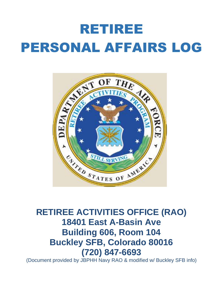# RETIREE PERSONAL AFFAIRS LOG



## **RETIREE ACTIVITIES OFFICE (RAO) 18401 East A-Basin Ave Building 606, Room 104 Buckley SFB, Colorado 80016 (720) 847-6693**

(Document provided by JBPHH Navy RAO & modified w/ Buckley SFB info)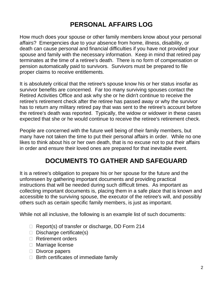### **PERSONAL AFFAIRS LOG**

How much does your spouse or other family members know about your personal affairs? Emergencies due to your absence from home, illness, disability, or death can cause personal and financial difficulties if you have not provided your spouse and family with the necessary information. Keep in mind that retired pay terminates at the time of a retiree's death. There is no form of compensation or pension automatically paid to survivors. Survivors must be prepared to file proper claims to receive entitlements.

It is absolutely critical that the retiree's spouse know his or her status insofar as survivor benefits are concerned. Far too many surviving spouses contact the Retired Activities Office and ask why she or he didn't continue to receive the retiree's retirement check after the retiree has passed away or why the survivor has to return any military retired pay that was sent to the retiree's account before the retiree's death was reported. Typically, the widow or widower in these cases expected that she or he would continue to receive the retiree's retirement check.

People are concerned with the future well being of their family members, but many have not taken the time to put their personal affairs in order. While no one likes to think about his or her own death, that is no excuse not to put their affairs in order and ensure their loved ones are prepared for that inevitable event.

### **DOCUMENTS TO GATHER AND SAFEGUARD**

It is a retiree's obligation to prepare his or her spouse for the future and the unforeseen by gathering important documents and providing practical instructions that will be needed during such difficult times. As important as collecting important documents is, placing them in a safe place that is known and accessible to the surviving spouse, the executor of the retiree's will, and possibly others such as certain specific family members, is just as important.

While not all inclusive, the following is an example list of such documents:

- □ Report(s) of transfer or discharge, DD Form 214
- $\Box$  Discharge certificate(s)
- □ Retirement orders
- □ Marriage license
- $\Box$  Divorce papers
- $\Box$  Birth certificates of immediate family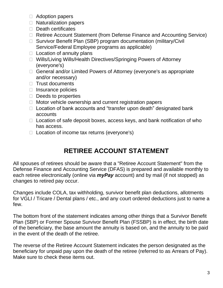- □ Adoption papers
- $\Box$  Naturalization papers
- $\Box$  Death certificates
- □ Retiree Account Statement (from Defense Finance and Accounting Service)
- □ Survivor Benefit Plan (SBP) program documentation (military/Civil Service/Federal Employee programs as applicable)
- $\Box$  Location of annuity plans
- □ Wills/Living Wills/Health Directives/Springing Powers of Attorney (everyone's)
- □ General and/or Limited Powers of Attorney (everyone's as appropriate and/or necessary)
- $\Box$  Trust documents
- $\Box$  Insurance policies
- $\Box$  Deeds to properties
- $\Box$  Motor vehicle ownership and current registration papers
- $\Box$  Location of bank accounts and "transfer upon death" designated bank accounts
- $\Box$  Location of safe deposit boxes, access keys, and bank notification of who has access.
- $\Box$  Location of income tax returns (everyone's)

### **RETIREE ACCOUNT STATEMENT**

All spouses of retirees should be aware that a "Retiree Account Statement" from the Defense Finance and Accounting Service (DFAS) is prepared and available monthly to each retiree electronically (online via *myPay* account) and by mail (if not stopped) as changes to retired pay occur.

Changes include COLA, tax withholding, survivor benefit plan deductions, allotments for VGLI / Tricare / Dental plans / etc., and any court ordered deductions just to name a few.

The bottom front of the statement indicates among other things that a Survivor Benefit Plan (SBP) or Former Spouse Survivor Benefit Plan (FSSBP) is in effect, the birth date of the beneficiary, the base amount the annuity is based on, and the annuity to be paid in the event of the death of the retiree.

The reverse of the Retiree Account Statement indicates the person designated as the beneficiary for unpaid pay upon the death of the retiree (referred to as Arrears of Pay). Make sure to check these items out.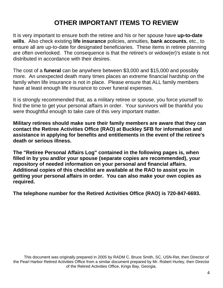### **OTHER IMPORTANT ITEMS TO REVIEW**

It is very important to ensure both the retiree and his or her spouse have **up-to-date wills**. Also check existing **life insurance** policies, annuities, **bank accounts**, etc., to ensure all are up-to-date for designated beneficiaries. These items in retiree planning are often overlooked. The consequence is that the retiree's or widow(er)'s estate is not distributed in accordance with their desires.

The cost of a **funeral** can be anywhere between \$3,000 and \$15,000 and possibly more. An unexpected death many times places an extreme financial hardship on the family when life insurance is not in place. Please ensure that ALL family members have at least enough life insurance to cover funeral expenses.

It is strongly recommended that, as a military retiree or spouse, you force yourself to find the time to get your personal affairs in order. Your survivors will be thankful you were thoughtful enough to take care of this very important matter.

**Military retirees should make sure their family members are aware that they can contact the Retiree Activities Office (RAO) at Buckley SFB for information and assistance in applying for benefits and entitlements in the event of the retiree's death or serious illness.** 

**The "Retiree Personal Affairs Log" contained in the following pages is, when filled in by you and/or your spouse (separate copies are recommended), your repository of needed information on your personal and financial affairs. Additional copies of this checklist are available at the RAO to assist you in getting your personal affairs in order. You can also make your own copies as required.** 

**The telephone number for the Retired Activities Office (RAO) is 720-847-6693.** 

This document was originally prepared in 2005 by RADM C. Bruce Smith, SC, USN-Ret, then Director of the Pearl Harbor Retired Activities Office from a similar document prepared by Mr. Robert Hurley, then Director of the Retired Activities Office, Kings Bay, Georgia.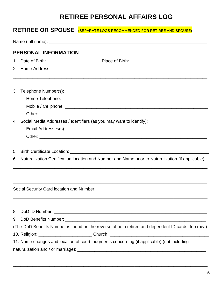### **RETIREE PERSONAL AFFAIRS LOG**

| RETIREE OR SPOUSE (SEPARATE LOGS RECOMMENDED FOR RETIREE AND SPOUSE) |                                                                                                                       |  |  |  |  |  |  |
|----------------------------------------------------------------------|-----------------------------------------------------------------------------------------------------------------------|--|--|--|--|--|--|
|                                                                      |                                                                                                                       |  |  |  |  |  |  |
|                                                                      | <b>PERSONAL INFORMATION</b>                                                                                           |  |  |  |  |  |  |
|                                                                      |                                                                                                                       |  |  |  |  |  |  |
|                                                                      | <u> 1989 - Johann Stoff, amerikansk politiker (d. 1989)</u>                                                           |  |  |  |  |  |  |
|                                                                      | 3. Telephone Number(s):                                                                                               |  |  |  |  |  |  |
|                                                                      |                                                                                                                       |  |  |  |  |  |  |
|                                                                      |                                                                                                                       |  |  |  |  |  |  |
|                                                                      |                                                                                                                       |  |  |  |  |  |  |
|                                                                      | 4. Social Media Addresses / Identifiers (as you may want to identify):                                                |  |  |  |  |  |  |
|                                                                      |                                                                                                                       |  |  |  |  |  |  |
|                                                                      |                                                                                                                       |  |  |  |  |  |  |
| 5.                                                                   |                                                                                                                       |  |  |  |  |  |  |
| 6.                                                                   | Naturalization Certification location and Number and Name prior to Naturalization (if applicable):                    |  |  |  |  |  |  |
|                                                                      | Social Security Card location and Number:                                                                             |  |  |  |  |  |  |
|                                                                      | <u> 1989 - Johann Harry Harry Harry Harry Harry Harry Harry Harry Harry Harry Harry Harry Harry Harry Harry Harry</u> |  |  |  |  |  |  |
|                                                                      |                                                                                                                       |  |  |  |  |  |  |
|                                                                      |                                                                                                                       |  |  |  |  |  |  |
|                                                                      | (The DoD Benefits Number is found on the reverse of both retiree and dependent ID cards, top row.)                    |  |  |  |  |  |  |
|                                                                      | 10. Religion: ___________________________Church: _______________________________                                      |  |  |  |  |  |  |
|                                                                      | 11. Name changes and location of court judgments concerning (if applicable) (not including                            |  |  |  |  |  |  |
|                                                                      |                                                                                                                       |  |  |  |  |  |  |
|                                                                      |                                                                                                                       |  |  |  |  |  |  |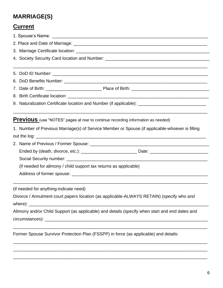### **MARRIAGE(S)**

### **Current**

|  | 9. Naturalization Certificate location and Number (if applicable): ________________________________ |  |  |  |  |
|--|-----------------------------------------------------------------------------------------------------|--|--|--|--|
|  | <b>Previous</b> (use "NOTES" pages at rear to continue recording information as needed)             |  |  |  |  |
|  | 1. Number of Previous Marriage(s) of Service Member or Spouse (if applicable-whoever is filling     |  |  |  |  |
|  |                                                                                                     |  |  |  |  |
|  |                                                                                                     |  |  |  |  |
|  |                                                                                                     |  |  |  |  |
|  |                                                                                                     |  |  |  |  |
|  | (if needed for alimony / child support tax returns as applicable)                                   |  |  |  |  |
|  |                                                                                                     |  |  |  |  |
|  | (if needed for anything-indicate need)                                                              |  |  |  |  |
|  | Divorce / Annulment court papers location (as applicable-ALWAYS RETAIN) (specify who and            |  |  |  |  |
|  |                                                                                                     |  |  |  |  |
|  | Alimony and/or Child Support (as applicable) and details (specify when start and end dates and      |  |  |  |  |
|  | Former Spouse Survivor Protection Plan (FSSPP) in force (as applicable) and details:                |  |  |  |  |

\_\_\_\_\_\_\_\_\_\_\_\_\_\_\_\_\_\_\_\_\_\_\_\_\_\_\_\_\_\_\_\_\_\_\_\_\_\_\_\_\_\_\_\_\_\_\_\_\_\_\_\_\_\_\_\_\_\_\_\_\_\_\_\_\_\_\_\_\_\_\_\_\_\_\_\_\_\_\_\_

\_\_\_\_\_\_\_\_\_\_\_\_\_\_\_\_\_\_\_\_\_\_\_\_\_\_\_\_\_\_\_\_\_\_\_\_\_\_\_\_\_\_\_\_\_\_\_\_\_\_\_\_\_\_\_\_\_\_\_\_\_\_\_\_\_\_\_\_\_\_\_\_\_\_\_\_\_\_\_\_

\_\_\_\_\_\_\_\_\_\_\_\_\_\_\_\_\_\_\_\_\_\_\_\_\_\_\_\_\_\_\_\_\_\_\_\_\_\_\_\_\_\_\_\_\_\_\_\_\_\_\_\_\_\_\_\_\_\_\_\_\_\_\_\_\_\_\_\_\_\_\_\_\_\_\_\_\_\_\_\_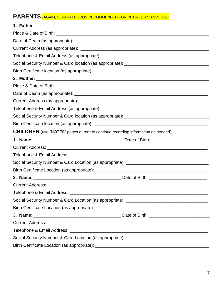#### **PARENTS** (AGAIN, SEPARATE LOGS RECOMMENDED FOR RETIREE AND SPOUSE)

| <b>CHILDREN</b> (use "NOTES" pages at rear to continue recording information as needed) |  |
|-----------------------------------------------------------------------------------------|--|
|                                                                                         |  |
|                                                                                         |  |
|                                                                                         |  |
|                                                                                         |  |
|                                                                                         |  |
|                                                                                         |  |
|                                                                                         |  |
| <b>Current Address:</b>                                                                 |  |
|                                                                                         |  |
|                                                                                         |  |
|                                                                                         |  |
|                                                                                         |  |
|                                                                                         |  |
|                                                                                         |  |
|                                                                                         |  |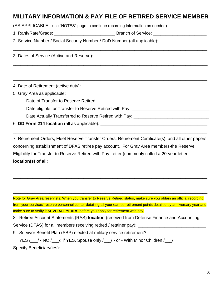### **MILITARY INFORMATION & PAY FILE OF RETIRED SERVICE MEMBER**

\_\_\_\_\_\_\_\_\_\_\_\_\_\_\_\_\_\_\_\_\_\_\_\_\_\_\_\_\_\_\_\_\_\_\_\_\_\_\_\_\_\_\_\_\_\_\_\_\_\_\_\_\_\_\_\_\_\_\_\_\_\_\_\_\_\_\_\_\_\_\_\_\_\_\_\_\_\_\_\_

\_\_\_\_\_\_\_\_\_\_\_\_\_\_\_\_\_\_\_\_\_\_\_\_\_\_\_\_\_\_\_\_\_\_\_\_\_\_\_\_\_\_\_\_\_\_\_\_\_\_\_\_\_\_\_\_\_\_\_\_\_\_\_\_\_\_\_\_\_\_\_\_\_\_\_\_\_\_\_\_

\_\_\_\_\_\_\_\_\_\_\_\_\_\_\_\_\_\_\_\_\_\_\_\_\_\_\_\_\_\_\_\_\_\_\_\_\_\_\_\_\_\_\_\_\_\_\_\_\_\_\_\_\_\_\_\_\_\_\_\_\_\_\_\_\_\_\_\_\_\_\_\_\_\_\_\_\_\_\_\_

\_\_\_\_\_\_\_\_\_\_\_\_\_\_\_\_\_\_\_\_\_\_\_\_\_\_\_\_\_\_\_\_\_\_\_\_\_\_\_\_\_\_\_\_\_\_\_\_\_\_\_\_\_\_\_\_\_\_\_\_\_\_\_\_\_\_\_\_\_\_\_\_\_\_\_\_\_\_\_\_

(AS APPLICABLE - use "NOTES" page to continue recording information as needed)

1. Rank/Rate/Grade: etc. and a service branch of Service:  $\blacksquare$ 

2. Service Number / Social Security Number / DoD Number (all applicable):

3. Dates of Service (Active and Reserve):

4. Date of Retirement (active duty): \_\_\_\_\_\_\_\_\_\_\_\_\_\_\_\_\_\_\_\_\_\_\_\_\_\_\_\_\_\_\_\_\_\_\_\_\_\_\_\_\_\_\_\_\_\_\_\_\_\_\_\_

5. Gray Area as applicable:

Date of Transfer to Reserve Retired: \_\_\_\_\_\_\_\_\_\_\_\_\_\_\_\_\_\_\_\_\_\_\_\_\_\_\_\_\_\_\_\_\_\_\_\_\_\_\_\_\_\_\_\_\_\_

Date eligible for Transfer to Reserve Retired with Pay:

Date Actually Transferred to Reserve Retired with Pay: \_\_\_\_\_\_\_\_\_\_\_\_\_\_\_\_\_\_\_\_\_\_\_\_\_\_

6. **DD Form 214 location** (all as applicable): \_\_\_\_\_\_\_\_\_\_\_\_\_\_\_\_\_\_\_\_\_\_\_\_\_\_\_\_\_\_\_\_\_\_\_\_\_\_\_\_\_\_\_\_

7. Retirement Orders, Fleet Reserve Transfer Orders, Retirement Certificate(s), and all other papers concerning establishment of DFAS retiree pay account. For Gray Area members-the Reserve Eligibility for Transfer to Reserve Retired with Pay Letter (commonly called a 20-year letter **location(s) of all**:

\_\_\_\_\_\_\_\_\_\_\_\_\_\_\_\_\_\_\_\_\_\_\_\_\_\_\_\_\_\_\_\_\_\_\_\_\_\_\_\_\_\_\_\_\_\_\_\_\_\_\_\_\_\_\_\_\_\_\_\_\_\_\_\_\_\_\_\_\_\_\_\_\_\_\_\_\_\_\_\_

\_\_\_\_\_\_\_\_\_\_\_\_\_\_\_\_\_\_\_\_\_\_\_\_\_\_\_\_\_\_\_\_\_\_\_\_\_\_\_\_\_\_\_\_\_\_\_\_\_\_\_\_\_\_\_\_\_\_\_\_\_\_\_\_\_\_\_\_\_\_\_\_\_\_\_\_\_\_\_\_

\_\_\_\_\_\_\_\_\_\_\_\_\_\_\_\_\_\_\_\_\_\_\_\_\_\_\_\_\_\_\_\_\_\_\_\_\_\_\_\_\_\_\_\_\_\_\_\_\_\_\_\_\_\_\_\_\_\_\_\_\_\_\_\_\_\_\_\_\_\_\_\_\_\_\_\_\_\_\_\_

\_\_\_\_\_\_\_\_\_\_\_\_\_\_\_\_\_\_\_\_\_\_\_\_\_\_\_\_\_\_\_\_\_\_\_\_\_\_\_\_\_\_\_\_\_\_\_\_\_\_\_\_\_\_\_\_\_\_\_\_\_\_\_\_\_\_\_\_\_\_\_\_\_\_\_\_\_\_\_\_

\_\_\_\_\_\_\_\_\_\_\_\_\_\_\_\_\_\_\_\_\_\_\_\_\_\_\_\_\_\_\_\_\_\_\_\_\_\_\_\_\_\_\_\_\_\_\_\_\_\_\_\_\_\_\_\_\_\_\_\_\_\_\_\_\_\_\_\_\_\_\_\_\_\_\_\_\_\_\_\_

Note for Gray Area reservists: When you transfer to Reserve Retired status, make sure you obtain an official recording from your services' reserve personnel center detailing all your earned retirement points detailed by anniversary year and make sure to verify it **SEVERAL YEARS** before you apply for retirement with pay.

8.Retiree Account Statements (RAS) **location** (received from Defense Finance and Accounting Service (DFAS) for all members receiving retired / retainer pay):

9. Survivor Benefit Plan (SBP) elected at military service retirement?

YES /  $\angle$  / - NO /  $\angle$  /; if YES, Spouse only /  $\angle$  / - or - With Minor Children /  $\angle$  /

Specify Beneficiary(ies): \_\_\_\_\_\_\_\_\_\_\_\_\_\_\_\_\_\_\_\_\_\_\_\_\_\_\_\_\_\_\_\_\_\_\_\_\_\_\_\_\_\_\_\_\_\_\_\_\_\_\_\_\_\_\_\_\_\_\_\_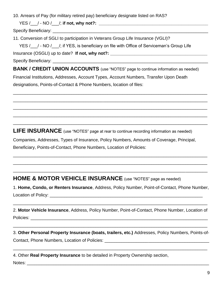10. Arrears of Pay (for military retired pay) beneficiary designate listed on RAS?

YES /\_\_\_/ - NO /\_\_\_/; **if not, why not?: \_\_\_\_\_\_\_\_\_\_\_\_\_\_\_\_\_\_\_\_\_\_\_\_\_\_\_\_\_\_\_\_\_\_\_\_\_\_\_\_\_\_\_\_\_**

Specify Beneficiary: **Example 20** 

11. Conversion of SGLI to participation in Veterans Group Life Insurance (VGLI)?

YES / / - NO / /; if YES, is beneficiary on file with Office of Serviceman's Group Life

Insurance (OSGLI) up to date? If not, why not?:

Specify Beneficiary: \_\_\_\_\_\_\_\_\_\_\_\_\_\_\_\_\_\_\_\_\_\_\_\_\_\_\_\_\_\_\_\_\_\_\_\_\_\_\_\_\_\_\_\_\_\_\_\_\_\_\_\_\_\_\_\_\_\_\_\_\_\_\_\_

**BANK / CREDIT UNION ACCOUNTS** (use "NOTES" page to continue information as needed)

\_\_\_\_\_\_\_\_\_\_\_\_\_\_\_\_\_\_\_\_\_\_\_\_\_\_\_\_\_\_\_\_\_\_\_\_\_\_\_\_\_\_\_\_\_\_\_\_\_\_\_\_\_\_\_\_\_\_\_\_\_\_\_\_\_\_\_\_\_\_\_\_\_\_\_\_\_\_\_\_

\_\_\_\_\_\_\_\_\_\_\_\_\_\_\_\_\_\_\_\_\_\_\_\_\_\_\_\_\_\_\_\_\_\_\_\_\_\_\_\_\_\_\_\_\_\_\_\_\_\_\_\_\_\_\_\_\_\_\_\_\_\_\_\_\_\_\_\_\_\_\_\_\_\_\_\_\_\_\_\_

\_\_\_\_\_\_\_\_\_\_\_\_\_\_\_\_\_\_\_\_\_\_\_\_\_\_\_\_\_\_\_\_\_\_\_\_\_\_\_\_\_\_\_\_\_\_\_\_\_\_\_\_\_\_\_\_\_\_\_\_\_\_\_\_\_\_\_\_\_\_\_\_\_\_\_\_\_\_\_\_

\_\_\_\_\_\_\_\_\_\_\_\_\_\_\_\_\_\_\_\_\_\_\_\_\_\_\_\_\_\_\_\_\_\_\_\_\_\_\_\_\_\_\_\_\_\_\_\_\_\_\_\_\_\_\_\_\_\_\_\_\_\_\_\_\_\_\_\_\_\_\_\_\_\_\_\_\_\_\_\_

\_\_\_\_\_\_\_\_\_\_\_\_\_\_\_\_\_\_\_\_\_\_\_\_\_\_\_\_\_\_\_\_\_\_\_\_\_\_\_\_\_\_\_\_\_\_\_\_\_\_\_\_\_\_\_\_\_\_\_\_\_\_\_\_\_\_\_\_\_\_\_\_\_\_\_\_\_\_\_\_

\_\_\_\_\_\_\_\_\_\_\_\_\_\_\_\_\_\_\_\_\_\_\_\_\_\_\_\_\_\_\_\_\_\_\_\_\_\_\_\_\_\_\_\_\_\_\_\_\_\_\_\_\_\_\_\_\_\_\_\_\_\_\_\_\_\_\_\_\_\_\_\_\_\_\_\_\_\_\_\_

\_\_\_\_\_\_\_\_\_\_\_\_\_\_\_\_\_\_\_\_\_\_\_\_\_\_\_\_\_\_\_\_\_\_\_\_\_\_\_\_\_\_\_\_\_\_\_\_\_\_\_\_\_\_\_\_\_\_\_\_\_\_\_\_\_\_\_\_\_\_\_\_\_\_\_\_\_\_\_\_

\_\_\_\_\_\_\_\_\_\_\_\_\_\_\_\_\_\_\_\_\_\_\_\_\_\_\_\_\_\_\_\_\_\_\_\_\_\_\_\_\_\_\_\_\_\_\_\_\_\_\_\_\_\_\_\_\_\_\_\_\_\_\_\_\_\_\_\_\_\_\_\_\_\_\_\_\_\_\_\_

Financial Institutions, Addresses, Account Types, Account Numbers, Transfer Upon Death designations, Points-of-Contact & Phone Numbers, location of files:

**LIFE INSURANCE** (use "NOTES" page at rear to continue recording information as needed)

Companies, Addresses, Types of Insurance, Policy Numbers, Amounts of Coverage, Principal, Beneficiary, Points-of-Contact, Phone Numbers, Location of Policies:

#### **HOME & MOTOR VEHICLE INSURANCE** (use "NOTES" page as needed)

1. **Home, Condo, or Renters Insurance**, Address, Policy Number, Point-of-Contact, Phone Number, Location of Policy: \_\_\_\_\_\_\_\_\_\_\_\_\_\_\_\_\_\_\_\_\_\_\_\_\_\_\_\_\_\_\_\_\_\_\_\_\_\_\_\_\_\_\_\_\_\_\_\_\_\_\_\_\_\_\_\_\_\_\_\_\_\_\_

2. **Motor Vehicle Insurance**, Address, Policy Number, Point-of-Contact, Phone Number, Location of Policies: \_\_\_\_\_\_\_\_\_\_\_\_\_\_\_\_\_\_\_\_\_\_\_\_\_\_\_\_\_\_\_\_\_\_\_\_\_\_\_\_\_\_\_\_\_\_\_\_\_\_\_\_\_\_\_\_\_\_\_\_\_\_\_\_\_\_\_\_\_\_\_\_\_

\_\_\_\_\_\_\_\_\_\_\_\_\_\_\_\_\_\_\_\_\_\_\_\_\_\_\_\_\_\_\_\_\_\_\_\_\_\_\_\_\_\_\_\_\_\_\_\_\_\_\_\_\_\_\_\_\_\_\_\_\_\_\_\_\_\_\_\_\_\_\_\_\_\_\_\_\_\_\_\_

3. **Other Personal Property Insurance (boats, trailers, etc.)** Addresses, Policy Numbers, Points-of-Contact, Phone Numbers, Location of Policies: \_\_\_\_\_\_\_\_\_\_\_\_\_\_\_\_\_\_\_\_\_\_\_\_\_\_\_\_\_\_\_\_\_\_

\_\_\_\_\_\_\_\_\_\_\_\_\_\_\_\_\_\_\_\_\_\_\_\_\_\_\_\_\_\_\_\_\_\_\_\_\_\_\_\_\_\_\_\_\_\_\_\_\_\_\_\_\_\_\_\_\_\_\_\_\_\_\_\_\_\_\_\_\_\_\_\_\_\_\_\_\_\_\_\_

\_\_\_\_\_\_\_\_\_\_\_\_\_\_\_\_\_\_\_\_\_\_\_\_\_\_\_\_\_\_\_\_\_\_\_\_\_\_\_\_\_\_\_\_\_\_\_\_\_\_\_\_\_\_\_\_\_\_\_\_\_\_\_\_\_\_\_\_\_\_\_\_\_\_\_\_\_\_\_\_

4. Other **Real Property Insurance** to be detailed in Property Ownership section,

Notes: \_\_\_\_\_\_\_\_\_\_\_\_\_\_\_\_\_\_\_\_\_\_\_\_\_\_\_\_\_\_\_\_\_\_\_\_\_\_\_\_\_\_\_\_\_\_\_\_\_\_\_\_\_\_\_\_\_\_\_\_\_\_\_\_\_\_\_\_\_\_\_\_\_\_\_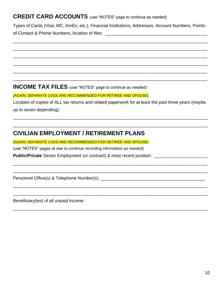#### **CREDIT CARD ACCOUNTS** (use "NOTES" page to continue as needed)

Types of Cards (Visa, MC, AmEx, etc.), Financial Institutions, Addresses, Account Numbers, Pointsof-Contact & Phone Numbers, location of files:

\_\_\_\_\_\_\_\_\_\_\_\_\_\_\_\_\_\_\_\_\_\_\_\_\_\_\_\_\_\_\_\_\_\_\_\_\_\_\_\_\_\_\_\_\_\_\_\_\_\_\_\_\_\_\_\_\_\_\_\_\_\_\_\_\_\_\_\_\_\_\_\_\_\_\_\_\_\_\_\_

\_\_\_\_\_\_\_\_\_\_\_\_\_\_\_\_\_\_\_\_\_\_\_\_\_\_\_\_\_\_\_\_\_\_\_\_\_\_\_\_\_\_\_\_\_\_\_\_\_\_\_\_\_\_\_\_\_\_\_\_\_\_\_\_\_\_\_\_\_\_\_\_\_\_\_\_\_\_\_\_

\_\_\_\_\_\_\_\_\_\_\_\_\_\_\_\_\_\_\_\_\_\_\_\_\_\_\_\_\_\_\_\_\_\_\_\_\_\_\_\_\_\_\_\_\_\_\_\_\_\_\_\_\_\_\_\_\_\_\_\_\_\_\_\_\_\_\_\_\_\_\_\_\_\_\_\_\_\_\_\_

\_\_\_\_\_\_\_\_\_\_\_\_\_\_\_\_\_\_\_\_\_\_\_\_\_\_\_\_\_\_\_\_\_\_\_\_\_\_\_\_\_\_\_\_\_\_\_\_\_\_\_\_\_\_\_\_\_\_\_\_\_\_\_\_\_\_\_\_\_\_\_\_\_\_\_\_\_\_\_\_

\_\_\_\_\_\_\_\_\_\_\_\_\_\_\_\_\_\_\_\_\_\_\_\_\_\_\_\_\_\_\_\_\_\_\_\_\_\_\_\_\_\_\_\_\_\_\_\_\_\_\_\_\_\_\_\_\_\_\_\_\_\_\_\_\_\_\_\_\_\_\_\_\_\_\_\_\_\_\_\_

\_\_\_\_\_\_\_\_\_\_\_\_\_\_\_\_\_\_\_\_\_\_\_\_\_\_\_\_\_\_\_\_\_\_\_\_\_\_\_\_\_\_\_\_\_\_\_\_\_\_\_\_\_\_\_\_\_\_\_\_\_\_\_\_\_\_\_\_\_\_\_\_\_\_\_\_\_\_\_\_

**INCOME TAX FILES** (use "NOTES" page to continue as needed)

(AGAIN, SEPARATE LOGS ARE RECOMMENDED FOR RETIREE AND SPOUSE)

Location of copies of ALL tax returns and related paperwork for at least the past three years (maybe up to seven depending):

\_\_\_\_\_\_\_\_\_\_\_\_\_\_\_\_\_\_\_\_\_\_\_\_\_\_\_\_\_\_\_\_\_\_\_\_\_\_\_\_\_\_\_\_\_\_\_\_\_\_\_\_\_\_\_\_\_\_\_\_\_\_\_\_\_\_\_\_\_\_\_\_\_\_\_\_\_\_\_\_

\_\_\_\_\_\_\_\_\_\_\_\_\_\_\_\_\_\_\_\_\_\_\_\_\_\_\_\_\_\_\_\_\_\_\_\_\_\_\_\_\_\_\_\_\_\_\_\_\_\_\_\_\_\_\_\_\_\_\_\_\_\_\_\_\_\_\_\_\_\_\_\_\_\_\_\_\_\_\_\_

\_\_\_\_\_\_\_\_\_\_\_\_\_\_\_\_\_\_\_\_\_\_\_\_\_\_\_\_\_\_\_\_\_\_\_\_\_\_\_\_\_\_\_\_\_\_\_\_\_\_\_\_\_\_\_\_\_\_\_\_\_\_\_\_\_\_\_\_\_\_\_\_\_\_\_\_\_\_\_\_

\_\_\_\_\_\_\_\_\_\_\_\_\_\_\_\_\_\_\_\_\_\_\_\_\_\_\_\_\_\_\_\_\_\_\_\_\_\_\_\_\_\_\_\_\_\_\_\_\_\_\_\_\_\_\_\_\_\_\_\_\_\_\_\_\_\_\_\_\_\_\_\_\_\_\_\_\_\_\_\_

\_\_\_\_\_\_\_\_\_\_\_\_\_\_\_\_\_\_\_\_\_\_\_\_\_\_\_\_\_\_\_\_\_\_\_\_\_\_\_\_\_\_\_\_\_\_\_\_\_\_\_\_\_\_\_\_\_\_\_\_\_\_\_\_\_\_\_\_\_\_\_\_\_\_\_\_\_\_\_\_

\_\_\_\_\_\_\_\_\_\_\_\_\_\_\_\_\_\_\_\_\_\_\_\_\_\_\_\_\_\_\_\_\_\_\_\_\_\_\_\_\_\_\_\_\_\_\_\_\_\_\_\_\_\_\_\_\_\_\_\_\_\_\_\_\_\_\_\_\_\_\_\_\_\_\_\_\_\_\_\_

\_\_\_\_\_\_\_\_\_\_\_\_\_\_\_\_\_\_\_\_\_\_\_\_\_\_\_\_\_\_\_\_\_\_\_\_\_\_\_\_\_\_\_\_\_\_\_\_\_\_\_\_\_\_\_\_\_\_\_\_\_\_\_\_\_\_\_\_\_\_\_\_\_\_\_\_\_\_\_\_

#### **CIVILIAN EMPLOYMENT / RETIREMENT PLANS**

(AGAIN, SEPARATE LOGS ARE RECOMMENDED FOR RETIREE AND SPOUSE)

(use "NOTES" pages at rear to continue recording information as needed)

**Public/Private** Sector Employment (or contract) & most recent position: \_\_\_\_\_\_\_\_\_\_\_\_\_\_\_\_\_\_\_\_\_\_

Personnel Office(s) & Telephone Number(s):

Beneficiary(ies) of all unpaid income: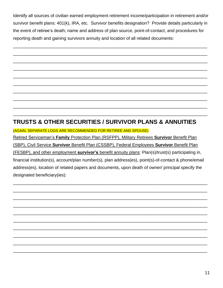Identify all sources of civilian earned employment retirement income/participation in retirement and/or survivor benefit plans: 401(k), IRA, etc. Survivor benefits designation? Provide details particularly in the event of retiree's death; name and address of plan source, point-of-contact, and procedures for reporting death and gaining survivors annuity and location of all related documents:

\_\_\_\_\_\_\_\_\_\_\_\_\_\_\_\_\_\_\_\_\_\_\_\_\_\_\_\_\_\_\_\_\_\_\_\_\_\_\_\_\_\_\_\_\_\_\_\_\_\_\_\_\_\_\_\_\_\_\_\_\_\_\_\_\_\_\_\_\_\_\_\_\_\_\_\_\_\_\_\_

\_\_\_\_\_\_\_\_\_\_\_\_\_\_\_\_\_\_\_\_\_\_\_\_\_\_\_\_\_\_\_\_\_\_\_\_\_\_\_\_\_\_\_\_\_\_\_\_\_\_\_\_\_\_\_\_\_\_\_\_\_\_\_\_\_\_\_\_\_\_\_\_\_\_\_\_\_\_\_\_

\_\_\_\_\_\_\_\_\_\_\_\_\_\_\_\_\_\_\_\_\_\_\_\_\_\_\_\_\_\_\_\_\_\_\_\_\_\_\_\_\_\_\_\_\_\_\_\_\_\_\_\_\_\_\_\_\_\_\_\_\_\_\_\_\_\_\_\_\_\_\_\_\_\_\_\_\_\_\_\_

\_\_\_\_\_\_\_\_\_\_\_\_\_\_\_\_\_\_\_\_\_\_\_\_\_\_\_\_\_\_\_\_\_\_\_\_\_\_\_\_\_\_\_\_\_\_\_\_\_\_\_\_\_\_\_\_\_\_\_\_\_\_\_\_\_\_\_\_\_\_\_\_\_\_\_\_\_\_\_\_

\_\_\_\_\_\_\_\_\_\_\_\_\_\_\_\_\_\_\_\_\_\_\_\_\_\_\_\_\_\_\_\_\_\_\_\_\_\_\_\_\_\_\_\_\_\_\_\_\_\_\_\_\_\_\_\_\_\_\_\_\_\_\_\_\_\_\_\_\_\_\_\_\_\_\_\_\_\_\_\_

\_\_\_\_\_\_\_\_\_\_\_\_\_\_\_\_\_\_\_\_\_\_\_\_\_\_\_\_\_\_\_\_\_\_\_\_\_\_\_\_\_\_\_\_\_\_\_\_\_\_\_\_\_\_\_\_\_\_\_\_\_\_\_\_\_\_\_\_\_\_\_\_\_\_\_\_\_\_\_\_

\_\_\_\_\_\_\_\_\_\_\_\_\_\_\_\_\_\_\_\_\_\_\_\_\_\_\_\_\_\_\_\_\_\_\_\_\_\_\_\_\_\_\_\_\_\_\_\_\_\_\_\_\_\_\_\_\_\_\_\_\_\_\_\_\_\_\_\_\_\_\_\_\_\_\_\_\_\_\_\_

\_\_\_\_\_\_\_\_\_\_\_\_\_\_\_\_\_\_\_\_\_\_\_\_\_\_\_\_\_\_\_\_\_\_\_\_\_\_\_\_\_\_\_\_\_\_\_\_\_\_\_\_\_\_\_\_\_\_\_\_\_\_\_\_\_\_\_\_\_\_\_\_\_\_\_\_\_\_\_\_

\_\_\_\_\_\_\_\_\_\_\_\_\_\_\_\_\_\_\_\_\_\_\_\_\_\_\_\_\_\_\_\_\_\_\_\_\_\_\_\_\_\_\_\_\_\_\_\_\_\_\_\_\_\_\_\_\_\_\_\_\_\_\_\_\_\_\_\_\_\_\_\_\_\_\_\_\_\_\_\_

\_\_\_\_\_\_\_\_\_\_\_\_\_\_\_\_\_\_\_\_\_\_\_\_\_\_\_\_\_\_\_\_\_\_\_\_\_\_\_\_\_\_\_\_\_\_\_\_\_\_\_\_\_\_\_\_\_\_\_\_\_\_\_\_\_\_\_\_\_\_\_\_\_\_\_\_\_\_\_\_

### **TRUSTS & OTHER SECURITIES / SURVIVOR PLANS & ANNUITIES**

(AGAIN, SEPARATE LOGS ARE RECOMMENDED FOR RETIREE AND SPOUSE)

Retired Serviceman's **Family** Protection Plan (RSFPP), Military Retirees **Survivor** Benefit Plan (SBP), Civil Service **Survivor** Benefit Plan (CSSBP), Federal Employees **Survivor** Benefit Plan (FESBP), and other employment **survivor's** benefit annuity plans: Plan(s)/trust(s) participating in, financial institution(s), account/plan number(s), plan address(es), point(s)-of-contact & phone/email address(es), location of related papers and documents, upon death of owner/ principal specify the designated beneficiary(ies):

\_\_\_\_\_\_\_\_\_\_\_\_\_\_\_\_\_\_\_\_\_\_\_\_\_\_\_\_\_\_\_\_\_\_\_\_\_\_\_\_\_\_\_\_\_\_\_\_\_\_\_\_\_\_\_\_\_\_\_\_\_\_\_\_\_\_\_\_\_\_\_\_\_\_\_\_\_\_\_\_

\_\_\_\_\_\_\_\_\_\_\_\_\_\_\_\_\_\_\_\_\_\_\_\_\_\_\_\_\_\_\_\_\_\_\_\_\_\_\_\_\_\_\_\_\_\_\_\_\_\_\_\_\_\_\_\_\_\_\_\_\_\_\_\_\_\_\_\_\_\_\_\_\_\_\_\_\_\_\_\_

\_\_\_\_\_\_\_\_\_\_\_\_\_\_\_\_\_\_\_\_\_\_\_\_\_\_\_\_\_\_\_\_\_\_\_\_\_\_\_\_\_\_\_\_\_\_\_\_\_\_\_\_\_\_\_\_\_\_\_\_\_\_\_\_\_\_\_\_\_\_\_\_\_\_\_\_\_\_\_\_

\_\_\_\_\_\_\_\_\_\_\_\_\_\_\_\_\_\_\_\_\_\_\_\_\_\_\_\_\_\_\_\_\_\_\_\_\_\_\_\_\_\_\_\_\_\_\_\_\_\_\_\_\_\_\_\_\_\_\_\_\_\_\_\_\_\_\_\_\_\_\_\_\_\_\_\_\_\_\_\_

\_\_\_\_\_\_\_\_\_\_\_\_\_\_\_\_\_\_\_\_\_\_\_\_\_\_\_\_\_\_\_\_\_\_\_\_\_\_\_\_\_\_\_\_\_\_\_\_\_\_\_\_\_\_\_\_\_\_\_\_\_\_\_\_\_\_\_\_\_\_\_\_\_\_\_\_\_\_\_\_

\_\_\_\_\_\_\_\_\_\_\_\_\_\_\_\_\_\_\_\_\_\_\_\_\_\_\_\_\_\_\_\_\_\_\_\_\_\_\_\_\_\_\_\_\_\_\_\_\_\_\_\_\_\_\_\_\_\_\_\_\_\_\_\_\_\_\_\_\_\_\_\_\_\_\_\_\_\_\_\_

\_\_\_\_\_\_\_\_\_\_\_\_\_\_\_\_\_\_\_\_\_\_\_\_\_\_\_\_\_\_\_\_\_\_\_\_\_\_\_\_\_\_\_\_\_\_\_\_\_\_\_\_\_\_\_\_\_\_\_\_\_\_\_\_\_\_\_\_\_\_\_\_\_\_\_\_\_\_\_\_

\_\_\_\_\_\_\_\_\_\_\_\_\_\_\_\_\_\_\_\_\_\_\_\_\_\_\_\_\_\_\_\_\_\_\_\_\_\_\_\_\_\_\_\_\_\_\_\_\_\_\_\_\_\_\_\_\_\_\_\_\_\_\_\_\_\_\_\_\_\_\_\_\_\_\_\_\_\_\_\_

\_\_\_\_\_\_\_\_\_\_\_\_\_\_\_\_\_\_\_\_\_\_\_\_\_\_\_\_\_\_\_\_\_\_\_\_\_\_\_\_\_\_\_\_\_\_\_\_\_\_\_\_\_\_\_\_\_\_\_\_\_\_\_\_\_\_\_\_\_\_\_\_\_\_\_\_\_\_\_\_

\_\_\_\_\_\_\_\_\_\_\_\_\_\_\_\_\_\_\_\_\_\_\_\_\_\_\_\_\_\_\_\_\_\_\_\_\_\_\_\_\_\_\_\_\_\_\_\_\_\_\_\_\_\_\_\_\_\_\_\_\_\_\_\_\_\_\_\_\_\_\_\_\_\_\_\_\_\_\_\_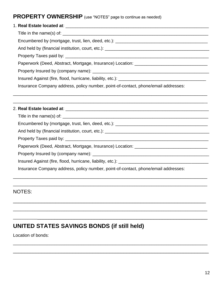#### **PROPERTY OWNERSHIP** (use "NOTES" page to continue as needed)

### 1. **Real Estate located at**: \_\_\_\_\_\_\_\_\_\_\_\_\_\_\_\_\_\_\_\_\_\_\_\_\_\_\_\_\_\_\_\_\_\_\_\_\_\_\_\_\_\_\_\_\_\_\_\_\_\_\_\_\_\_\_\_\_\_\_ Title in the name(s) of:  $\Box$ Encumbered by (mortgage, trust, lien, deed, etc.): And held by (financial institution, court, etc.): \_\_\_\_\_\_\_\_\_\_\_\_\_\_\_\_\_\_\_\_\_\_\_\_\_\_\_\_\_\_ Property Taxes paid by: \_\_\_\_\_\_\_\_\_\_\_\_\_\_\_\_\_\_\_\_\_\_\_\_\_\_\_\_\_\_\_\_\_\_\_\_\_\_\_\_\_\_\_\_\_\_\_\_\_\_\_\_\_\_\_\_\_\_\_ Paperwork (Deed, Abstract, Mortgage, Insurance) Location: \_\_\_\_\_\_\_\_\_\_\_\_\_\_\_\_\_\_\_\_\_\_ Property Insured by (company name): \_\_\_\_\_\_\_\_\_\_\_\_\_\_\_\_\_\_\_\_\_\_\_\_\_\_\_\_\_\_\_\_\_\_\_\_\_\_\_\_\_\_\_\_\_\_\_\_ Insured Against (fire, flood, hurricane, liability, etc.): Insurance Company address, policy number, point-of-contact, phone/email addresses: \_\_\_\_\_\_\_\_\_\_\_\_\_\_\_\_\_\_\_\_\_\_\_\_\_\_\_\_\_\_\_\_\_\_\_\_\_\_\_\_\_\_\_\_\_\_\_\_\_\_\_\_\_\_\_\_\_\_\_\_\_\_\_\_\_\_\_\_\_\_\_\_\_\_\_\_\_\_\_\_ \_\_\_\_\_\_\_\_\_\_\_\_\_\_\_\_\_\_\_\_\_\_\_\_\_\_\_\_\_\_\_\_\_\_\_\_\_\_\_\_\_\_\_\_\_\_\_\_\_\_\_\_\_\_\_\_\_\_\_\_\_\_\_\_\_\_\_\_\_\_\_\_\_\_\_\_\_\_\_\_ 2. **Real Estate located at**: \_\_\_\_\_\_\_\_\_\_\_\_\_\_\_\_\_\_\_\_\_\_\_\_\_\_\_\_\_\_\_\_\_\_\_\_\_\_\_\_\_\_\_\_\_\_\_\_\_\_\_\_\_\_\_\_\_\_\_

Title in the name(s) of:  $\Box$  Encumbered by (mortgage, trust, lien, deed, etc.): \_\_\_\_\_\_\_\_\_\_\_\_\_\_\_\_\_\_\_\_\_\_\_\_\_\_\_\_\_\_\_\_\_\_\_\_\_\_ And held by (financial institution, court, etc.): \_\_\_\_\_\_\_\_\_\_\_\_\_\_\_\_\_\_\_\_\_\_\_\_\_\_\_\_\_\_\_\_\_\_\_\_\_\_\_\_\_\_\_ Property Taxes paid by: **Example 20** 

Paperwork (Deed, Abstract, Mortgage, Insurance) Location: \_\_\_\_\_\_\_\_\_\_\_\_\_\_\_\_\_\_\_\_\_\_

Property Insured by (company name): \_\_\_\_\_\_\_\_\_\_\_\_\_\_\_\_\_\_\_\_\_\_\_\_\_\_\_\_\_\_\_\_\_\_\_\_\_\_\_\_\_\_\_\_\_\_\_\_

Insured Against (fire, flood, hurricane, liability, etc.): \_\_\_\_\_\_\_\_\_\_\_\_\_\_\_\_\_\_\_\_\_\_\_\_\_\_\_\_\_\_\_\_\_\_\_\_\_

Insurance Company address, policy number, point-of-contact, phone/email addresses:

\_\_\_\_\_\_\_\_\_\_\_\_\_\_\_\_\_\_\_\_\_\_\_\_\_\_\_\_\_\_\_\_\_\_\_\_\_\_\_\_\_\_\_\_\_\_\_\_\_\_\_\_\_\_\_\_\_\_\_\_\_\_\_\_\_\_\_\_\_\_\_\_\_\_\_\_\_\_\_\_

\_\_\_\_\_\_\_\_\_\_\_\_\_\_\_\_\_\_\_\_\_\_\_\_\_\_\_\_\_\_\_\_\_\_\_\_\_\_\_\_\_\_\_\_\_\_\_\_\_\_\_\_\_\_\_\_\_\_\_\_\_\_\_\_\_\_\_\_\_\_\_\_\_\_\_\_\_\_\_\_

\_\_\_\_\_\_\_\_\_\_\_\_\_\_\_\_\_\_\_\_\_\_\_\_\_\_\_\_\_\_\_\_\_\_\_\_\_\_\_\_\_\_\_\_\_\_\_\_\_\_\_\_\_\_\_\_\_\_\_\_\_\_\_\_\_\_\_\_

\_\_\_\_\_\_\_\_\_\_\_\_\_\_\_\_\_\_\_\_\_\_\_\_\_\_\_\_\_\_\_\_\_\_\_\_\_\_\_\_\_\_\_\_\_\_\_\_\_\_\_\_\_\_\_\_\_\_\_\_\_\_\_\_\_\_\_\_\_\_\_\_\_\_\_\_\_\_\_\_

\_\_\_\_\_\_\_\_\_\_\_\_\_\_\_\_\_\_\_\_\_\_\_\_\_\_\_\_\_\_\_\_\_\_\_\_\_\_\_\_\_\_\_\_\_\_\_\_\_\_\_\_\_\_\_\_\_\_\_\_\_\_\_\_\_\_\_\_\_\_

\_\_\_\_\_\_\_\_\_\_\_\_\_\_\_\_\_\_\_\_\_\_\_\_\_\_\_\_\_\_\_\_\_\_\_\_\_\_\_\_\_\_\_\_\_\_\_\_\_\_\_\_\_\_\_\_\_\_\_\_\_\_\_\_\_\_\_\_\_\_\_\_\_\_\_\_\_\_\_\_

\_\_\_\_\_\_\_\_\_\_\_\_\_\_\_\_\_\_\_\_\_\_\_\_\_\_\_\_\_\_\_\_\_\_\_\_\_\_\_\_\_\_\_\_\_\_\_\_\_\_\_\_\_\_\_\_\_\_\_\_\_\_\_\_\_\_\_\_\_

NOTES:

#### **UNITED STATES SAVINGS BONDS (if still held)**

Location of bonds: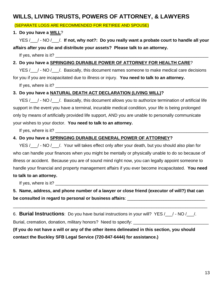### **WILLS, LIVING TRUSTS, POWERS OF ATTORNEY, & LAWYERS**

(SEPARATE LOGS ARE RECOMMENDED FOR RETIREE AND SPOUSE)

#### **1. Do you have a WILL**?

 YES /\_\_\_/ - NO /\_\_\_/. **If not, why not?: Do you really want a probate court to handle all your affairs after you die and distribute your assets? Please talk to an attorney.**

If yes, where is it?  $\blacksquare$ 

#### **2. Do you have a SPRINGING DURABLE POWER OF ATTORNEY FOR HEALTH CARE**?

YES / / - NO / /. Basically, this document names someone to make medical care decisions for you if you are incapacitated due to illness or injury. **You need to talk to an attorney.** 

If yes, where is it?  $\blacksquare$ 

#### **3. Do you have a NATURAL DEATH ACT DECLARATION (LIVING WILL)?**

YES / / - NO / /. Basically, this document allows you to authorize termination of artificial life support in the event you have a terminal, incurable medical condition, your life is being prolonged only by means of artificially provided life support, AND you are unable to personally communicate your wishes to your doctor. **You need to talk to an attorney.** 

If yes, where is it?

#### **4. Do you have a SPRINGING DURABLE GENERAL POWER OF ATTORNEY?**

YES /\_\_\_/ - NO /\_\_\_/. Your will takes effect only after your death, but you should also plan for who can handle your finances when you might be mentally or physically unable to do so because of illness or accident. Because you are of sound mind right now, you can legally appoint someone to handle your financial and property management affairs if you ever become incapacitated. **You need to talk to an attorney.** 

If yes, where is it?  $\blacksquare$ 

**5. Name, address, and phone number of a lawyer or close friend (executor of will?) that can be consulted in regard to personal or business affairs**: \_\_\_\_\_\_\_\_\_\_\_\_\_\_\_\_\_\_\_\_\_\_\_\_\_\_\_\_\_\_\_\_

\_\_\_\_\_\_\_\_\_\_\_\_\_\_\_\_\_\_\_\_\_\_\_\_\_\_\_\_\_\_\_\_\_\_\_\_\_\_\_\_\_\_\_\_\_\_\_\_\_\_\_\_\_\_\_\_\_\_\_\_\_\_\_\_\_\_\_\_\_\_\_\_\_\_\_\_\_\_\_\_

6. **Burial Instructions**: Do you have burial instructions in your will? YES /\_\_\_/ - NO /\_\_\_/.

Burial, cremation, donation, military honors? Need to specify:

**(If you do not have a will or any of the other items delineated in this section, you should contact the Buckley SFB Legal Service (720-847-6444) for assistance.)**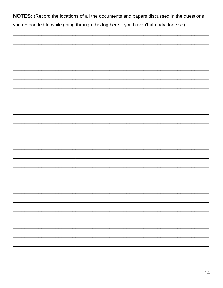| NOTES: (Record the locations of all the documents and papers discussed in the questions |
|-----------------------------------------------------------------------------------------|
| you responded to while going through this log here if you haven't already done so):     |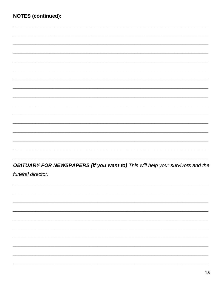| <b>NOTES (continued):</b>                                                             |
|---------------------------------------------------------------------------------------|
|                                                                                       |
|                                                                                       |
|                                                                                       |
|                                                                                       |
|                                                                                       |
|                                                                                       |
|                                                                                       |
|                                                                                       |
|                                                                                       |
|                                                                                       |
|                                                                                       |
|                                                                                       |
|                                                                                       |
|                                                                                       |
| <b>OBITUARY FOR NEWSPAPERS (if you want to)</b> This will help your survivors and the |
| funeral director:                                                                     |
|                                                                                       |
|                                                                                       |
|                                                                                       |
|                                                                                       |
|                                                                                       |
|                                                                                       |
|                                                                                       |
|                                                                                       |
|                                                                                       |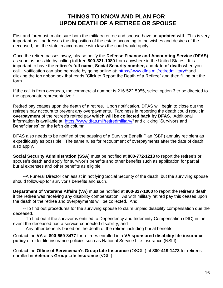#### **THINGS TO KNOW AND PLAN FOR UPON DEATH OF A RETIREE OR SPOUSE**

First and foremost, make sure both the military retiree and spouse have an **updated will**. This is very important as it addresses the disposition of the estate according to the wishes and desires of the deceased, not the state in accordance with laws the court would apply.

Once the retiree passes away, please notify the **Defense Finance and Accounting Service (DFAS)** as soon as possible by calling toll free **800-321-1080** from anywhere in the United States. It is important to have the **retiree's full name**, **Social Security number,** and **date of death** when you call. Notification can also be made by going online at: https:/[/www.dfas.mil/retiredmilitary/](http://www.dfas.mil/retiredmilitary/)**<sup>1</sup>** and clicking the top ribbon box that reads "Click to Report the Death of a Retiree" and then filling out the form.

If the call is from overseas, the commercial number is 216-522-5955, select option 3 to be directed to the appropriate representative. **2**

Retired pay ceases upon the death of a retiree. Upon notification, DFAS will begin to close out the retiree's pay account to prevent any overpayments. Tardiness in reporting the death could result in **overpayment** of the retiree's retired pay **which will be collected back by DFAS.** Additional information is available at: https:/[/www.dfas.mil/retiredmilitary/](http://www.dfas.mil/retiredmilitary/)**<sup>1</sup>** and clicking "Survivors and Beneficiaries" on the left side column.

DFAS also needs to be notified of the passing of a Survivor Benefit Plan (SBP) annuity recipient as expeditiously as possible. The same rules for recoupment of overpayments after the date of death also apply.

**Social Security Administration (SSA)** must be notified at **800-772-1213** to report the retiree's or spouse's death and apply for survivor's benefits and other benefits such as application for partial burial expenses and other benefits as eligible.

 --A Funeral Director can assist in notifying Social Security of the death, but the surviving spouse should follow-up for survivor's benefits and such.

**Department of Veterans Affairs (VA)** must be notified at **800-827-1000** to report the retiree's death if the retiree was receiving any disability compensation. As with military retired pay this ceases upon the death of the retiree and overpayments will be collected. And:

--To find out procedures for the surviving spouse to claim unpaid disability compensation due the deceased.

--To find out if the survivor is entitled to Dependency and Indemnity Compensation (DIC) in the event the deceased had a service-connected disability, and

--Any other benefits based on the death of the retiree including burial benefits.

Contact the **VA** at **800-669-8477** for retirees enrolled in a **VA sponsored disability life insurance policy** or older life insurance policies such as National Service Life Insurance (NSLI).

Contact the **Office of Serviceman's Group Life Insurance** (OSGLI) at **800-419-1473** for retirees enrolled in **Veterans Group Life Insurance** (VGLI)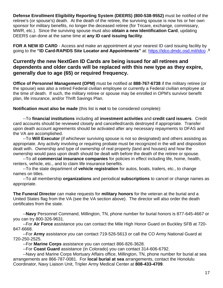**Defense Enrollment Eligibility Reporting System (DEERS) (800-538-9552)** must be notified of the retiree's (or spouse's) death. At the death of the retiree, the surviving spouse is now his or her own sponsor for military benefits, no longer the deceased retiree (for Tricare, exchange, commissary, MWR, etc.). Since the surviving spouse must also **obtain a new Identification Card**, updating DEERS can done at the same time at **any ID card issuing facility**.

**FOR A NEW ID CARD** - Access and make an appointment at your nearest ID card issuing facility by going to the "ID Card-RAPIDS Site Locator and Appointments" at: [https://idco.dmdc.osd.mil/idco](https://idco.dmdc.osd.mil/idco%20.3).<sup>3</sup>

#### **Currently the new NextGen ID Cards are being issued for all retirees and dependents and older cards will be replaced with this new type as they expire, generally due to age (65) or required frequency.**

**Office of Personnel Management (OPM)** must be notified at **888-767-6738** if the military retiree (or the spouse) was also a retired Federal civilian employee or currently a Federal civilian employee at the time of death. If such, the military retiree or spouse may be enrolled in OPM's survivor benefit plan, life insurance, and/or Thrift Savings Plan.

**Notification must also be made** (this list is **not** to be considered complete):

--To **financial institutions** including all **investment activities** and **credit card issuers**. Credit card accounts should be reviewed closely and cancelled/cards destroyed if appropriate. Transfer upon death account agreements should be activated after any necessary repayments to DFAS and the VA are accomplished.

--To **Will Executor** (if whichever surviving spouse is not so designated) and others assisting as appropriate. Any activity involving or requiring probate must be recognized in the will and disposition dealt with. Ownership and type of ownership of real property (land and houses) and how the ownership would pass upon death should be dealt with before the death of the retiree or spouse.

--To all **commercial insurance companies** for policies in effect including life, home, health, renters, vehicle, etc., and to claim life insurance benefits.

--To the state department of **vehicle registration** for autos, boats, trailers, etc., to change names on titles.

--To all membership **organizations** and periodical **subscriptions** to cancel or change names as appropriate.

**The Funeral Director** can make requests for **military honors** for the veteran at the burial and a United States flag from the VA (see the VA section above). The director will also order the death certificates from the state.

--**Navy** Personnel Command, Millington, TN, phone number for burial honors is 877-645-4667 or you can try 800-326-9631.

--For **Air Force** assistance you can contact the Mile High Honor Guard on Buckley SFB at 720- 847-6668.

--For **Army** assistance you can contact 719-526-5613 or call the CO Army National Guard at 720-250-2525.

--For **Marine Corps** assistance you can contact 866-826-3628.

--For **Coast Guard** assistance (in Colorado) you can contact 314-606-6792.

--Navy and Marine Corps Mortuary Affairs office, Millington, TN, phone number for burial at sea arrangements are 866-787-0081. For **local burial at sea** arrangements, contact the Honolulu Coordinator, Navy Liaison Unit, Tripler Army Medical Center at **808-433-4709**.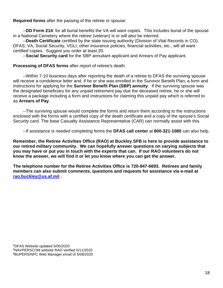**Required forms** after the passing of the retiree or spouse:

--**DD Form 214**: for all burial benefits the VA will want copies. This includes burial of the spouse in a National Cemetery where the retiree (veteran) is or will also be interred.

--**Death Certificate** certified by the state issuing authority (Division of Vital Records in CO). DFAS, VA, Social Security, VGLI, other insurance policies, financial activities, etc., will all want certified copies. Suggest you order at least 20.

--**Social Security card** for the SBP annuitant applicant and Arrears of Pay applicant.

**Processing of DFAS forms** after report of retiree's death:

--Within 7-10 business days after reporting the death of a retiree to DFAS the surviving spouse will receive a condolence letter and, if he or she was enrolled in the Survivor Benefit Plan, a form and instructions for applying for the **Survivor Benefit Plan (SBP) annuity**. If the surviving spouse was the designated beneficiary for any unpaid retirement pay due the deceased retiree, he or she will receive a package including a form and instructions for claiming this unpaid pay which is referred to as **Arrears of Pay**.

--The surviving spouse would complete the forms and return them according to the instructions enclosed with the forms with a certified copy of the death certificate and a copy of the spouse's Social Security card. The base Casualty Assistance Representative (CAR) can normally assist with this.

--If assistance is needed completing forms the **DFAS call center** at **800-321-1080** can also help.

**Remember, the Retiree Activities Office (RAO) at Buckley SFB is here to provide assistance to our retired military community. We can hopefully answer questions on varying subjects that you may have or put you in touch with the experts that can. If our RAO volunteers do not know the answer, we will find it or let you know where you can get the answer.** 

**The telephone number for the Retiree Activities Office is 720-847-6693. Retirees and family members can also submit comments, questions and requests for assistance via e-mail at [rao.buckley@us.af.mil](mailto:rao.buckley@us.af.mil) .** 

**<sup>1</sup>**DFAS Website updated 5/05/2020 **<sup>2</sup>**NAVPERSCOM website RAO verified 5/11/2020 **3**BUPERS/NPC Web Manager email of 5/08/2020